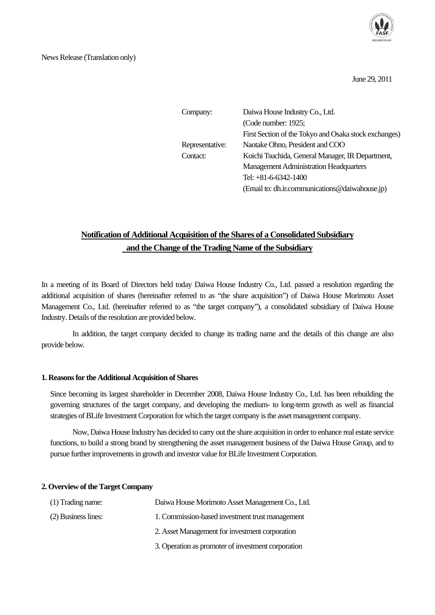

News Release (Translation only)

June 29, 2011

| Company:        | Daiwa House Industry Co., Ltd.                        |
|-----------------|-------------------------------------------------------|
|                 | (Code number: 1925;                                   |
|                 | First Section of the Tokyo and Osaka stock exchanges) |
| Representative: | Naotake Ohno, President and COO                       |
| Contact:        | Koichi Tsuchida, General Manager, IR Department,      |
|                 | Management Administration Headquarters                |
|                 | Tel: $+81-6-6342-1400$                                |
|                 | (Email to: dh.ir.communications@daiwahouse.jp)        |

# **Notification of Additional Acquisition of the Shares of a Consolidated Subsidiary and the Change of the Trading Name of the Subsidiary**

In a meeting of its Board of Directors held today Daiwa House Industry Co., Ltd. passed a resolution regarding the additional acquisition of shares (hereinafter referred to as "the share acquisition") of Daiwa House Morimoto Asset Management Co., Ltd. (hereinafter referred to as "the target company"), a consolidated subsidiary of Daiwa House Industry. Details of the resolution are provided below.

 In addition, the target company decided to change its trading name and the details of this change are also provide below.

### **1. Reasons for the Additional Acquisition of Shares**

Since becoming its largest shareholder in December 2008, Daiwa House Industry Co., Ltd. has been rebuilding the governing structures of the target company, and developing the medium- to long-term growth as well as financial strategies of BLife Investment Corporation for which the target company is the asset management company.

 Now, Daiwa House Industry has decided to carry out the share acquisition in order to enhance real estate service functions, to build a strong brand by strengthening the asset management business of the Daiwa House Group, and to pursue further improvements in growth and investor value for BLife Investment Corporation.

## **2. Overview of the Target Company**

| (1) Trading name:   | Daiwa House Morimoto Asset Management Co., Ltd.    |
|---------------------|----------------------------------------------------|
| (2) Business lines: | 1. Commission-based investment trust management    |
|                     | 2. Asset Management for investment corporation     |
|                     | 3. Operation as promoter of investment corporation |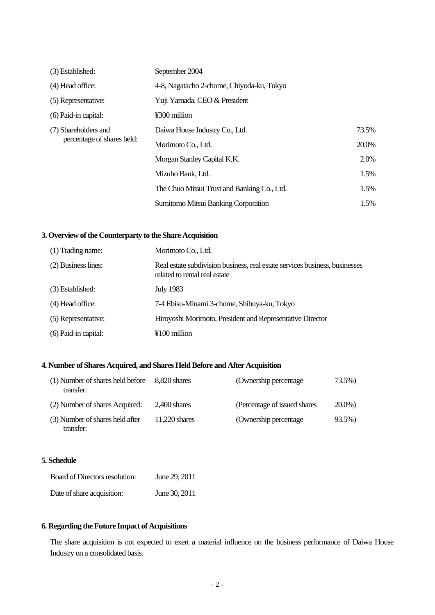| (3) Established:           | September 2004                              |       |  |
|----------------------------|---------------------------------------------|-------|--|
| (4) Head office:           | 4-8, Nagatacho 2-chome, Chiyoda-ku, Tokyo   |       |  |
| (5) Representative:        | Yuji Yamada, CEO & President                |       |  |
| (6) Paid-in capital:       | ¥300 million                                |       |  |
| (7) Shareholders and       | Daiwa House Industry Co., Ltd.              | 73.5% |  |
| percentage of shares held: | Morimoto Co., Ltd.                          | 20.0% |  |
|                            | Morgan Stanley Capital K.K.                 | 2.0%  |  |
|                            | Mizuho Bank, Ltd.                           | 1.5%  |  |
|                            | The Chuo Mitsui Trust and Banking Co., Ltd. | 1.5%  |  |
|                            | Sumitomo Mitsui Banking Corporation         | 1.5%  |  |

## **3. Overview of the Counterparty to the Share Acquisition**

| (1) Trading name:    | Morimoto Co., Ltd.                                                                                           |
|----------------------|--------------------------------------------------------------------------------------------------------------|
| (2) Business lines:  | Real estate subdivision business, real estate services business, businesses<br>related to rental real estate |
| (3) Established:     | <b>July 1983</b>                                                                                             |
| (4) Head office:     | 7-4 Ebisu-Minami 3-chome, Shibuya-ku, Tokyo                                                                  |
| (5) Representative:  | Hiroyoshi Morimoto, President and Representative Director                                                    |
| (6) Paid-in capital: | $\text{\#}100 \text{ million}$                                                                               |

## **4. Number of Shares Acquired, and Shares Held Before and After Acquisition**

| (1) Number of shares held before<br>transfer: | 8,820 shares    | (Ownership percentage         | 73.5%) |
|-----------------------------------------------|-----------------|-------------------------------|--------|
| (2) Number of shares Acquired:                | $2,400$ shares  | (Percentage of issued shares) | 20.0%) |
| (3) Number of shares held after<br>transfer:  | $11,220$ shares | (Ownership percentage)        | 93.5%) |

# **5. Schedule**

| Board of Directors resolution: | June 29, 2011 |
|--------------------------------|---------------|
| Date of share acquisition:     | June 30, 2011 |

## **6. Regarding the Future Impact of Acquisitions**

The share acquisition is not expected to exert a material influence on the business performance of Daiwa House Industry on a consolidated basis.